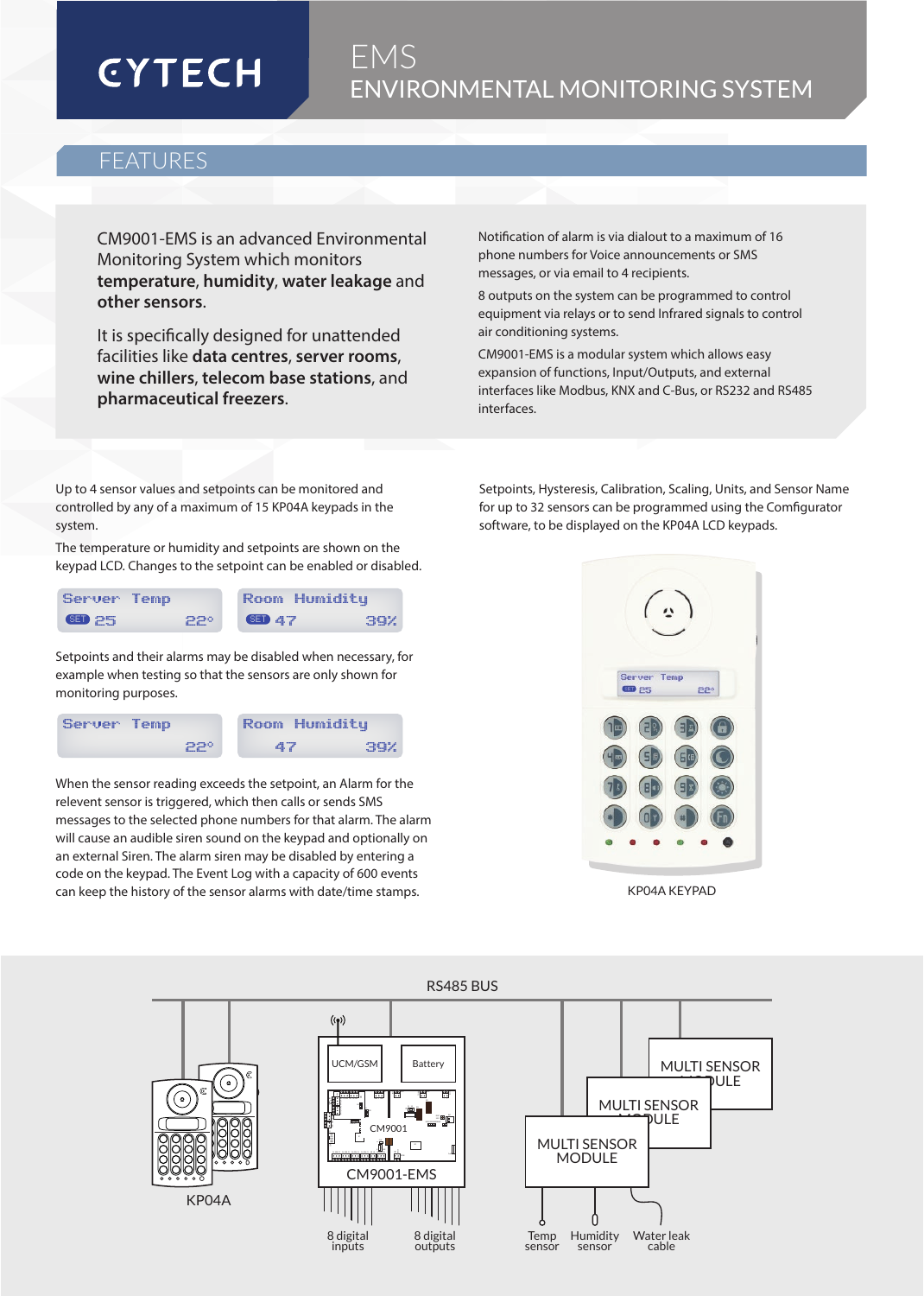# **CYTECH**

## EMS ENVIRONMENTAL MONITORING SYSTEM

### FEATURES

CM9001-EMS is an advanced Environmental Monitoring System which monitors **temperature**, **humidity**, **water leakage** and **other sensors**.

It is specifically designed for unattended facilities like **data centres**, **server rooms**, **wine chillers**, **telecom base stations**, and **pharmaceutical freezers**.

Notification of alarm is via dialout to a maximum of 16 phone numbers for Voice announcements or SMS messages, or via email to 4 recipients.

8 outputs on the system can be programmed to control equipment via relays or to send Infrared signals to control air conditioning systems.

CM9001-EMS is a modular system which allows easy expansion of functions, Input/Outputs, and external interfaces like Modbus, KNX and C-Bus, or RS232 and RS485 interfaces.

Up to 4 sensor values and setpoints can be monitored and controlled by any of a maximum of 15 KP04A keypads in the system.

The temperature or humidity and setpoints are shown on the keypad LCD. Changes to the setpoint can be enabled or disabled.

| Server Temp   |     | Room Humiditu |     |
|---------------|-----|---------------|-----|
| <b>SED</b> 25 | 220 | <b>GED 47</b> | 39X |

Setpoints and their alarms may be disabled when necessary, for example when testing so that the sensors are only shown for monitoring purposes.

| Server Temp |            | 'Room Humiditu |     |
|-------------|------------|----------------|-----|
|             | <b>PPº</b> | 47             | 39X |

When the sensor reading exceeds the setpoint, an Alarm for the relevent sensor is triggered, which then calls or sends SMS messages to the selected phone numbers for that alarm. The alarm will cause an audible siren sound on the keypad and optionally on an external Siren. The alarm siren may be disabled by entering a code on the keypad. The Event Log with a capacity of 600 events can keep the history of the sensor alarms with date/time stamps.

Setpoints, Hysteresis, Calibration, Scaling, Units, and Sensor Name for up to 32 sensors can be programmed using the Comfigurator software, to be displayed on the KP04A LCD keypads.